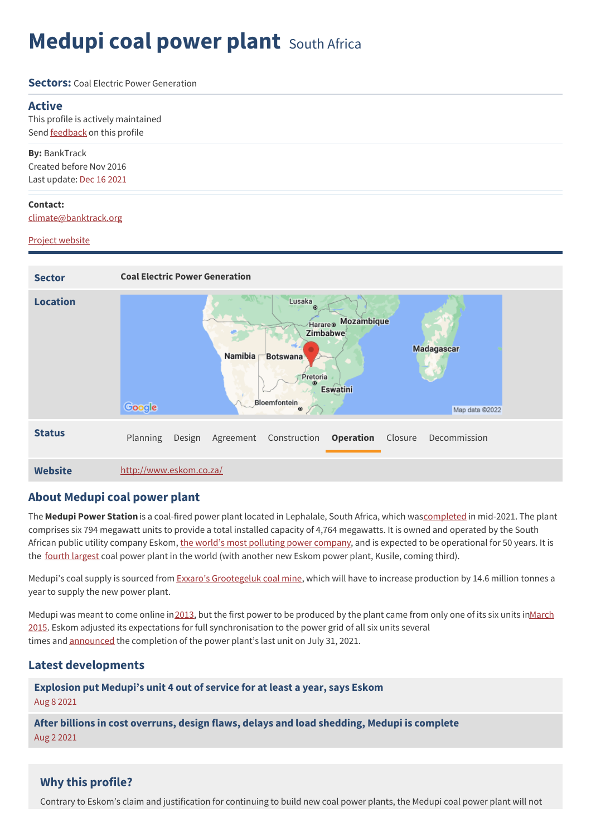# **Medupi coal power plant** South Africa

#### **Sectors:** Coal Flectric Power Generation

### **Active**

This profile is actively maintained Send **[feedback](https://www.banktrack.org/feedback/dodgydeal/medupi_coal_power_plant)** on this profile

**By:** BankTrack Created before Nov 2016 Last update: Dec 16 2021

### **Contact:**

[climate@banktrack.org](mailto:climate@banktrack.org)

### Project [website](http://www.eskom.co.za/)



## **About Medupi coal power plant**

The **Medupi Power Station**is a coal-fired power plant located in Lephalale, South Africa, which wa[scompleted](https://www.powerengineeringint.com/news/south-africas-4764mw-medupi-coal-plant-completed/) in mid-2021. The plant comprises six 794 megawatt units to provide a total installed capacity of 4,764 megawatts. It is owned and operated by the South African public utility company Eskom, the world's most [polluting](https://energyandcleanair.org/wp/wp-content/uploads/2021/10/Eskom-is-now-the-worlds-most-polluting-power-company.pdf) power company, and is expected to be operational for 50 years. It is the fourth [largest](https://www.foei.org/wp-content/uploads/2013/12/FINAL-WB-CLIMATE-FINANCE-JUNE-2011.pdf) coal power plant in the world (with another new Eskom power plant, Kusile, coming third).

Medupi's coal supply is sourced from Exxaro's [Grootegeluk](https://www.reuters.com/article/exxaroresources-idUSLDE62U0RS20100331) coal mine, which will have to increase production by 14.6 million tonnes a year to supply the new power plant.

Medupi was meant to come online in [2013](https://mg.co.za/article/2013-07-08-medupi-delayed-what-went-wrong/), but the first power to be produced by the plant came from only one of its six units in March 2015. Eskom adjusted its expectations for full [synchronisation](https://www.esi-africa.com/top-stories/medupis-unit-6-produces-its-first-power/) to the power grid of all six units several times and [announced](https://www.eskom.co.za/eskom-medupis-last-unit-achieves-commercial-operation-marking-completion-of-the-project/) the completion of the power plant's last unit on July 31, 2021.

## **Latest developments**

**[Explosion](javascript:void(0)) put Medupi's unit 4 out of service for at least a year, says Eskom** Aug 8 2021

**After billions in cost overruns, design flaws, delays and load [shedding,](javascript:void(0)) Medupi is complete** Aug 2 2021

## **Why this profile?**

Contrary to Eskom's claim and justification for continuing to build new coal power plants, the Medupi coal power plant will not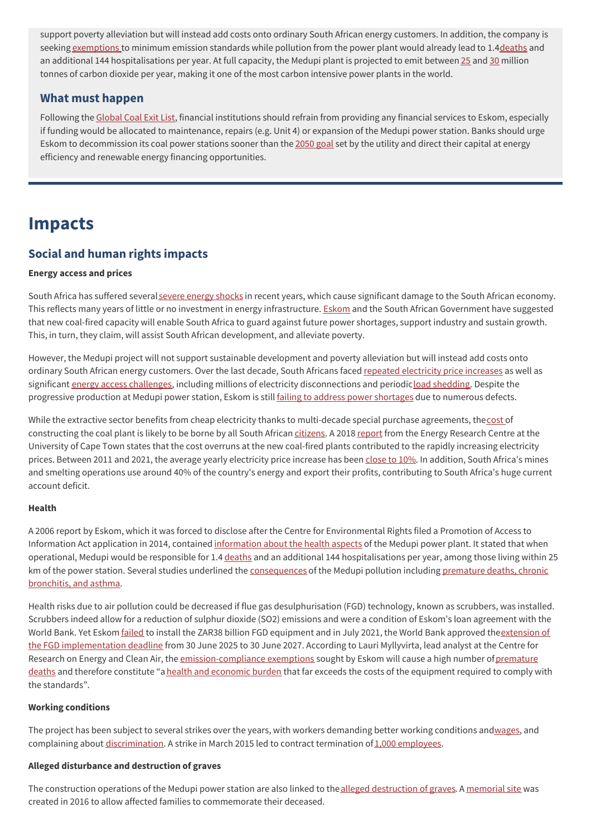support poverty alleviation but will instead add costs onto ordinary South African energy customers. In addition, the company is seeking [exemptions](https://www.eskom.co.za/eskom-divisions/gx/emissions-standards/) to minimum emission standards while pollution from the power plant would already lead to 1.[4deaths](http://mg.co.za/article/2014-06-19-power-stations-are-deadly-internal-report-reveals) and an additional 144 hospitalisations per year. At full capacity, the Medupi plant is projected to emit between [25](https://www.foei.org/wp-content/uploads/2013/12/FINAL-WB-CLIMATE-FINANCE-JUNE-2011.pdf) and [30](https://www.groundwork.org.za/reports/gW_Report_2018_-_Boom_or_Bust_in_the_Waterberg_-_A_history_of_coal_mega-projects.pdf) million tonnes of carbon dioxide per year, making it one of the most carbon intensive power plants in the world.

## **What must happen**

Following the [Global](https://coalexit.org/) Coal Exit List, financial institutions should refrain from providing any financial services to Eskom, especially if funding would be allocated to maintenance, repairs (e.g. Unit 4) or expansion of the Medupi power station. Banks should urge Eskom to decommission its coal power stations sooner than the [2050](https://www.reuters.com/business/environment/africas-top-emitter-seeks-10-bln-shift-coal-2021-06-30/) goal set by the utility and direct their capital at energy efficiency and renewable energy financing opportunities.

## **Impacts**

## **Social and human rights impacts**

### **Energy access and prices**

South Africa has suffered several severe [energy](https://www.csir.co.za/sites/default/files/Documents/Loadshedding%20plot.pdf) shocks in recent years, which cause significant damage to the South African economy. This reflects many years of little or no investment in energy infrastructure. [Eskom](https://www.reuters.com/article/ozatp-worldbank-eskom-20100409-idAFJOE63800U20100409) and the South African Government have suggested that new coal-fired capacity will enable South Africa to guard against future power shortages, support industry and sustain growth. This, in turn, they claim, will assist South African development, and alleviate poverty.

However, the Medupi project will not support sustainable development and poverty alleviation but will instead add costs onto ordinary South African energy customers. Over the last decade, South Africans faced repeated [electricity](https://www.cbn.co.za/featured/highest-electricity-price-increase-of-last-decade/) price increases as well as significant energy access [challenges](https://www.opml.co.uk/blog/south-africa-s-crippling-electricity-problem), including millions of electricity disconnections and periodicload [shedding](https://businesstech.co.za/news/energy/541566/load-shedding-in-south-africa-is-inevitable-ramaphosa/). Despite the progressive production at Medupi power station, Eskom is still failing to address power [shortages](https://www.theeastafrican.co.ke/tea/rest-of-africa/sa-massive-coal-plant-fails-to-address-power-shortage-3507298) due to numerous defects.

While the extractive sector benefits from cheap electricity thanks to multi-decade special purchase agreements, the[cost](https://www.news24.com/fin24/Budget/how-medupi-and-kusile-are-sinking-south-africa-20191009) of constructing the coal plant is likely to be borne by all South African [citizens](https://www.reuters.com/article/safrica-eskom/update-1-south-africas-eskom-takes-energy-regulator-to-court-over-tariffs-idUKL8N29K3ZH?edition-redirect=uk). A 2018 [report](https://www.iddri.org/en/publications-and-events/report/coal-transitions-south-africa) from the Energy Research Centre at the University of Cape Town states that the cost overruns at the new coal-fired plants contributed to the rapidly increasing electricity prices. Between 2011 and 2021, the average yearly electricity price increase has been [close](https://www.cbn.co.za/featured/highest-electricity-price-increase-of-last-decade/) to 10%. In addition, South Africa's mines and smelting operations use around 40% of the country's energy and export their profits, contributing to South Africa's huge current account deficit.

### **Health**

A 2006 report by Eskom, which it was forced to disclose after the Centre for Environmental Rights filed a Promotion of Access to Information Act application in 2014, contained [information](https://mg.co.za/article/2014-06-19-power-stations-are-deadly-internal-report-reveals/) about the health aspects of the Medupi power plant. It stated that when operational, Medupi would be responsible for 1.4 [deaths](http://mg.co.za/article/2014-06-19-power-stations-are-deadly-internal-report-reveals) and an additional 144 hospitalisations per year, among those living within 25 km of the power station. Several studies underlined the [consequences](https://www.groundwork.org.za/Documents/AirQuality/Mike_Holland_Health_Impacts_of_Coal_Fired_Power_Plants_In_SA.pdf) of the Medupi pollution including premature deaths, chronic bronchitis, and asthma.

Health risks due to air pollution could be decreased if flue gas desulphurisation (FGD) technology, known as scrubbers, was installed. Scrubbers indeed allow for a reduction of sulphur dioxide (SO2) emissions and were a condition of Eskom's loan agreement with the World Bank. Yet Eskom *[failed](https://www.citizen.co.za/news/2249291/medupis-killer-fumes-the-story-of-a-power-stations-missing-air-scrubbers/)* to install the ZAR38 billion FGD equipment and in July 2021, the World Bank approved the extension of the FGD [implementation](https://www.eskom.co.za/wp-content/uploads/2021/08/2021IntegratedReport.pdf) deadline from 30 June 2025 to 30 June 2027. According to Lauri Myllyvirta, lead analyst at the Centre for Research on Energy and Clean Air, the [e](https://www.groundwork.org.za/Documents/AirQuality/Annexure-3_Lauri-Myllyvirta_Report_July-2019.pdf)[mission-compliance](https://cer.org.za/wp-content/uploads/2018/10/Annexure-B-Medupi-Approval-Letter.pdf) exemptions sought by Eskom will cause a high number ofpremature deaths and therefore constitute "a health and [economic](https://www.bloombergquint.com/business/south-africa-s-worst-offender-eskom-wants-pollution-exemption) burden that far exceeds the costs of the equipment required to comply with the standards".

### **Working conditions**

The project has been subject to several strikes over the years, with workers demanding better working conditions an[dwages](https://www.citizen.co.za/news/south-africa/2027681/eskom-left-us-in-the-lurch-say-medupi-workers/), and complaining about [discrimination](https://www.groundwork.org.za/reports/gW_Report_2018_-_Boom_or_Bust_in_the_Waterberg_-_A_history_of_coal_mega-projects.pdf). A strike in March 2015 led to contract termination of 1,000 [employees](https://www.businesslive.co.za/bd/national/labour/2015-03-27-eskom-contractors-fire-more-than-1000-workers-over-illegal-medupi-strike/).

### **Alleged disturbance and destruction of graves**

The construction operations of the Medupi power station are also linked to the alleged [destruction](https://www.eskom.co.za/OurCompany/SustainableDevelopment/EnvironmentalImpactAssessments/MedupiGraves/Pages/default.aspx) of graves. A [memorial](https://www.worldbank.org/en/news/feature/2016/07/08/south-african-families-gather-to-commemorate-deceased-with-memorial-at-medupi-power-plant) site was created in 2016 to allow affected families to commemorate their deceased.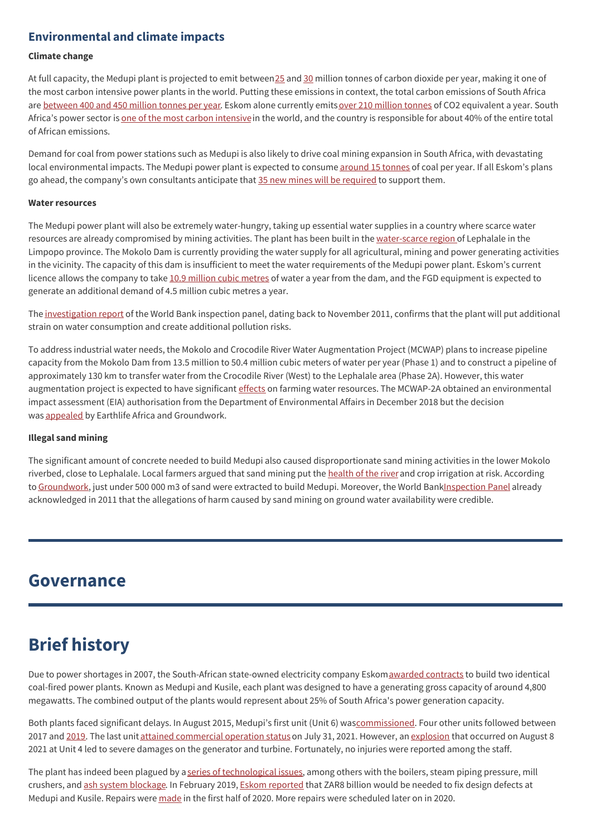## **Environmental and climate impacts**

### **Climate change**

At full capacity, the Medupi plant is projected to emit between [25](https://www.foei.org/wp-content/uploads/2013/12/FINAL-WB-CLIMATE-FINANCE-JUNE-2011.pdf) and [30](https://www.groundwork.org.za/reports/gW_Report_2018_-_Boom_or_Bust_in_the_Waterberg_-_A_history_of_coal_mega-projects.pdf) million tonnes of carbon dioxide per year, making it one of the most carbon intensive power plants in the world. Putting these emissions in context, the total carbon emissions of South Africa are [between](https://data.worldbank.org/indicator/EN.ATM.CO2E.KT?locations=ZA) 400 and 450 [million](https://www.reuters.com/business/environment/africas-top-emitter-seeks-10-bln-shift-coal-2021-06-30/) tonnes per year. Eskom alone currently emits over 210 million tonnes of CO2 equivalent a year. South Africa's power sector is one of the most carbon [intensive](https://www.foei.org/wp-content/uploads/2013/12/FINAL-WB-CLIMATE-FINANCE-JUNE-2011.pdf) in the world, and the country is responsible for about 40% of the entire total of African emissions.

Demand for coal from power stations such as Medupi is also likely to drive coal mining expansion in South Africa, with devastating local environmental impacts. The Medupi power plant is expected to consume [around](https://www.reuters.com/article/exxaroresources-idUSLDE62U0RS20100331) 15 tonnes of coal per year. If all Eskom's plans go ahead, the company's own consultants anticipate that 35 new mines will be [required](https://www.sierraclub.org/sites/www.sierraclub.org/files/MoveBeyondCoalNow.pdf) to support them.

### **Water resources**

The Medupi power plant will also be extremely water-hungry, taking up essential water supplies in a country where scarce water resources are already compromised by mining activities. The plant has been built in the [water-scarce](https://mg.co.za/article/2010-01-27-electricity-and-water-dont-mix/) region of Lephalale in the Limpopo province. The Mokolo Dam is currently providing the water supply for all agricultural, mining and power generating activities in the vicinity. The capacity of this dam is insufficient to meet the water requirements of the Medupi power plant. Eskom's current licence allows the company to take 10.9 [million](https://documents1.worldbank.org/curated/en/945661577445675366/pdf/Disclosable-Restructuring-Paper-Eskom-Investment-Support-Project-P116410.pdf) cubic metres of water a year from the dam, and the FGD equipment is expected to generate an additional demand of 4.5 million cubic metres a year.

The [investigation](https://www.inspectionpanel.org/sites/www.inspectionpanel.org/files/ip/PanelCases/65-Investigation%20Report%20%2528English%2529.pdf) report of the World Bank inspection panel, dating back to November 2011, confirms that the plant will put additional strain on water consumption and create additional pollution risks.

To address industrial water needs, the Mokolo and Crocodile River Water Augmentation Project (MCWAP) plans to increase pipeline capacity from the Mokolo Dam from 13.5 million to 50.4 million cubic meters of water per year (Phase 1) and to construct a pipeline of approximately 130 km to transfer water from the Crocodile River (West) to the Lephalale area (Phase 2A). However, this water augmentation project is expected to have significant [effects](https://www.researchgate.net/publication/341160046_Water_risks_of_coal_driven_mega_projects_in_Limpopo_the_MCWAP_and_the_EMSEZ) on farming water resources. The MCWAP-2A obtained an environmental impact assessment (EIA) authorisation from the Department of Environmental Affairs in December 2018 but the decision was [appealed](https://www.groundwork.org.za/medarchives/2019/Work_not_to_start_on_next_phase_of_Mokolo-Crocodile_transfer_scheme_until_EIA_appeal_finalised.pdf) by Earthlife Africa and Groundwork.

### **Illegal sand mining**

The significant amount of concrete needed to build Medupi also caused disproportionate sand mining activities in the lower Mokolo riverbed, close to Lephalale. Local farmers argued that sand mining put the [health](https://mg.co.za/article/2013-01-11-mining-puts-river-in-deep-trouble/) of the river and crop irrigation at risk. According to [Groundwork](https://www.groundwork.org.za/reports/gW_Report_2018_-_Boom_or_Bust_in_the_Waterberg_-_A_history_of_coal_mega-projects.pdf), just under 500 000 m3 of sand were extracted to build Medupi. Moreover, the World Ban[kInspection](https://www.inspectionpanel.org/sites/www.inspectionpanel.org/files/ip/PanelCases/65-Investigation%20Report%20%2528English%2529.pdf) Panel already acknowledged in 2011 that the allegations of harm caused by sand mining on ground water availability were credible.

## **Governance**

## **Brief history**

Due to power shortages in 2007, the South-African state-owned electricity company Eskomawarded [contracts](https://www.esi-africa.com/top-stories/hitachi-alstom-awarded-contracts-for-medupi/) to build two identical coal-fired power plants. Known as Medupi and Kusile, each plant was designed to have a generating gross capacity of around 4,800 megawatts. The combined output of the plants would represent about 25% of South Africa's power generation capacity.

Both plants faced significant delays. In August 2015, Medupi's first unit (Unit 6) wa[scommissioned](https://www.alstom.com/press-releases-news/2015/9/medupi-unit-6-achieves-full-commercialization). Four other units followed between 2017 and [2019](https://www.citizen.co.za/business/business-news/2210820/medupi-unit-2-brought-into-commercial-operation-shortly-after-visit-from-ramaphosa/). The last unit attained [commercial](https://www.timeslive.co.za/news/south-africa/2021-08-02-last-unit-at-medupi-power-station-comes-online/) operation status on July 31, 2021. However, an [explosion](https://www.citizen.co.za/business/business-news/2877322/medupi-power-station-explosion-eskom-25-october-2021/) that occurred on August 8 2021 at Unit 4 led to severe damages on the generator and turbine. Fortunately, no injuries were reported among the staff.

The plant has indeed been plagued by a series of [technological](https://www.dailymaverick.co.za/article/2019-10-23-medupi-magic-fails-eskom-and-south-africa/) issues, among others with the boilers, steam piping pressure, mill crushers, and ash system [blockage](https://www.citizen.co.za/news/south-africa/load-shedding/2081445/medupi-is-drowning-in-damaging-ash-as-contractor-forced-to-withdraw/). In February 2019, Eskom [reported](https://www.businesslive.co.za/bd/opinion/2019-05-01-kusile-and-medupi-were-destined-to-fail-from-the-start/) that ZAR8 billion would be needed to fix design defects at Medupi and Kusile. Repairs were [made](http://spectrum.ieee.org/energywise/energy/renewables/south-africas-lights-flicker-as-its-electric-utility-ponders-a-future-without-carbon) in the first half of 2020. More repairs were scheduled later on in 2020.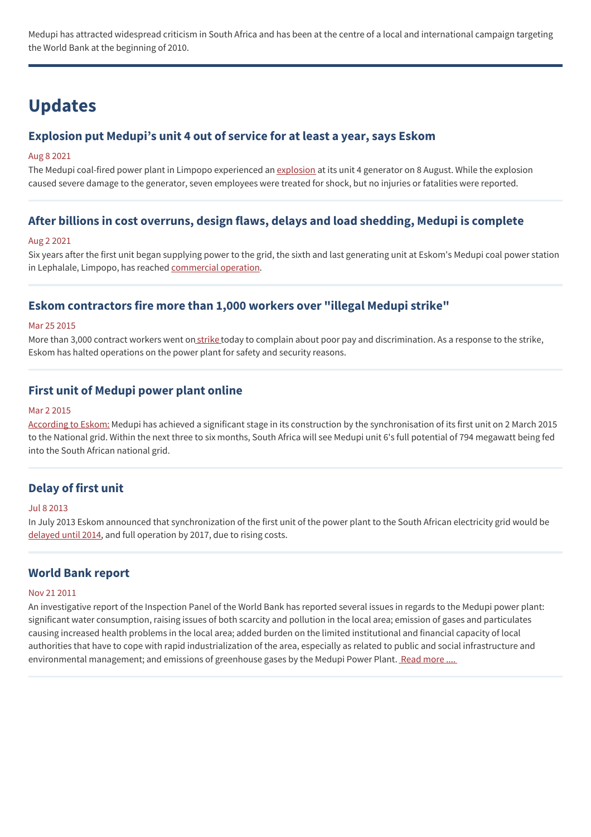Medupi has attracted widespread criticism in South Africa and has been at the centre of a local and international campaign targeting the World Bank at the beginning of 2010.

## **Updates**

## **Explosion put Medupi's unit 4 out of service for at least a year, says Eskom**

### Aug 8 2021

The Medupi coal-fired power plant in Limpopo experienced an [explosion](https://www.citizen.co.za/business/business-news/2877322/medupi-power-station-explosion-eskom-25-october-2021/) at its unit 4 generator on 8 August. While the explosion caused severe damage to the generator, seven employees were treated for shock, but no injuries or fatalities were reported.

## **After billions in cost overruns, design flaws, delays and load shedding, Medupi is complete**

#### Aug 2 2021

Six years after the first unit began supplying power to the grid, the sixth and last generating unit at Eskom's Medupi coal power station in Lephalale, Limpopo, has reached [commercial](https://www.news24.com/fin24/economy/eskom/after-billions-in-cost-overruns-design-flaws-delays-and-load-shedding-medupi-is-finally-complete-20210802) operation.

## **Eskom contractors fire more than 1,000 workers over "illegal Medupi strike"**

### Mar 25 2015

More than 3,000 contract workers went on [strike](http://www.bdlive.co.za/national/labour/2015/03/27/eskom-contractors-fire-more-than-1000-workers-over-illegal-medupi-strike) today to complain about poor pay and discrimination. As a response to the strike, Eskom has halted operations on the power plant for safety and security reasons.

## **First unit of Medupi power plant online**

### Mar 2 2015

[According](http://www.eskom.co.za/Whatweredoing/NewBuild/MedupiPowerStation/Pages/Medupi_Power_Station_Project.aspx) to Eskom: Medupi has achieved a significant stage in its construction by the synchronisation of its first unit on 2 March 2015 to the National grid. Within the next three to six months, South Africa will see Medupi unit 6's full potential of 794 megawatt being fed into the South African national grid.

## **Delay of first unit**

### Jul 8 2013

In July 2013 Eskom announced that synchronization of the first unit of the power plant to the South African electricity grid would be [delayed](http://www.bloomberg.com/news/2013-07-08/eskom-south-african-power-plant-delayed-to-2014-as-costs-climb.html) until 2014, and full operation by 2017, due to rising costs.

### **World Bank report**

#### Nov 21 2011

An investigative report of the Inspection Panel of the World Bank has reported several issues in regards to the Medupi power plant: significant water consumption, raising issues of both scarcity and pollution in the local area; emission of gases and particulates causing increased health problems in the local area; added burden on the limited institutional and financial capacity of local authorities that have to cope with rapid industrialization of the area, especially as related to public and social infrastructure and environmental management; and emissions of greenhouse gases by the Medupi Power Plant. Read [more](https://www.inspectionpanel.org/sites/www.inspectionpanel.org/files/ip/PanelCases/65-Investigation%20Report%20%2528English%2529.pdf) ....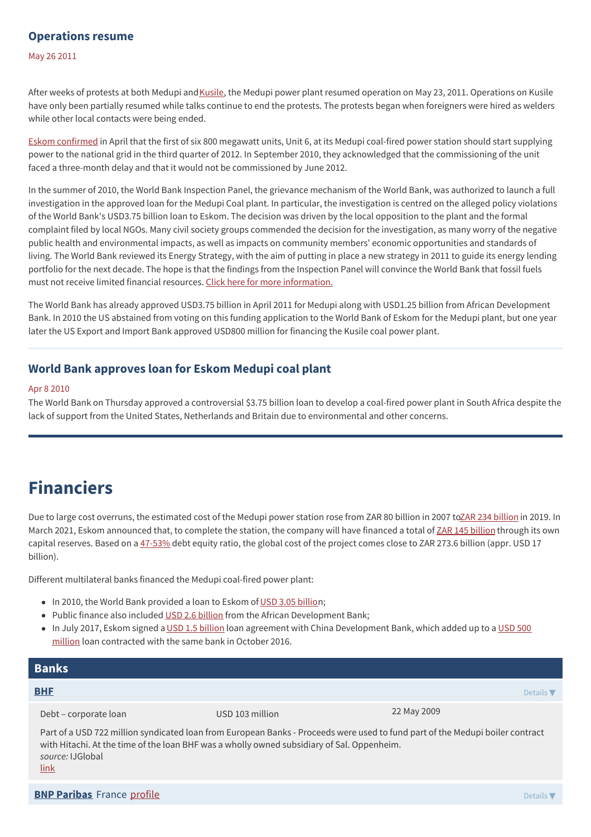## **Operations resume**

May 26 2011

After weeks of protests at both Medupi and [Kusile](https://www.banktrack.org/project/kusile_coal_power_plant), the Medupi power plant resumed operation on May 23, 2011. Operations on Kusile have only been partially resumed while talks continue to end the protests. The protests began when foreigners were hired as welders while other local contacts were being ended.

Eskom [confirmed](http://www.engineeringnews.co.za/article/medupi-to-go-on-line-in-third-quarter-of-2012-2011-04-15) in April that the first of six 800 megawatt units, Unit 6, at its Medupi coal-fired power station should start supplying power to the national grid in the third quarter of 2012. In September 2010, they acknowledged that the commissioning of the unit faced a three-month delay and that it would not be commissioned by June 2012.

In the summer of 2010, the World Bank Inspection Panel, the grievance mechanism of the World Bank, was authorized to launch a full investigation in the approved loan for the Medupi Coal plant. In particular, the investigation is centred on the alleged policy violations of the World Bank's USD3.75 billion loan to Eskom. The decision was driven by the local opposition to the plant and the formal complaint filed by local NGOs. Many civil society groups commended the decision for the investigation, as many worry of the negative public health and environmental impacts, as well as impacts on community members' economic opportunities and standards of living. The World Bank reviewed its Energy Strategy, with the aim of putting in place a new strategy in 2011 to guide its energy lending portfolio for the next decade. The hope is that the findings from the Inspection Panel will convince the World Bank that fossil fuels must not receive limited financial resources. Click here for more [information.](https://www.inspectionpanel.org/sites/www.inspectionpanel.org/files/ip/PanelCases/65-Investigation%20Report%20%2528English%2529.pdf)

The World Bank has already approved USD3.75 billion in April 2011 for Medupi along with USD1.25 billion from African Development Bank. In 2010 the US abstained from voting on this funding application to the World Bank of Eskom for the Medupi plant, but one year later the US Export and Import Bank approved USD800 million for financing the Kusile coal power plant.

## **World Bank approves loan for Eskom Medupi coal plant**

#### Apr 8 2010

The World Bank on Thursday approved a controversial \$3.75 billion loan to develop a coal-fired power plant in South Africa despite the lack of support from the United States, Netherlands and Britain due to environmental and other concerns.

## **Financiers**

Due to large cost overruns, the estimated cost of the Medupi power station rose from ZAR 80 [billion](https://mybroadband.co.za/news/energy/318251-here-is-the-true-cost-of-eskoms-medupi-and-kusile-power-stations.html) in 2007 to ZAR 234 billion in 2019. In March 2021, Eskom announced that, to complete the station, the company will have financed a total of ZAR 145 [billion](https://www.eskom.co.za/wp-content/uploads/2021/08/2021IntegratedReport.pdf) through its own capital reserves. Based on a [47-53%](https://ijglobal.com/articles/59569/eskom-project-gets-186-billion-boost) debt equity ratio, the global cost of the project comes close to ZAR 273.6 billion (appr. USD 17 billion).

Different multilateral banks financed the Medupi coal-fired power plant:

- In 2010, the World Bank provided a loan to Eskom of USD 3.05 [billio](https://www.worldbank.org/en/news/press-release/2010/04/08/world-bank-supports-south-africas-energy-security-plans)n;
- Public finance also included USD 2.6 [billion](https://www.groundwork.org.za/reports/gW_Report_2018_-_Boom_or_Bust_in_the_Waterberg_-_A_history_of_coal_mega-projects.pdf) from the African Development Bank;
- In July 2017, Eskom signed a USD 1.5 [billion](https://www.reuters.com/article/us-safrica-eskom-idUSKBN19R138) loan agreement with China [Development](https://www.reuters.com/article/us-safrica-eskom-idUSKBN19R138) Bank, which added up to a USD 500 million loan contracted with the same bank in October 2016.

| <b>Banks</b>                                                                                                                                                                                                                |                 |                              |
|-----------------------------------------------------------------------------------------------------------------------------------------------------------------------------------------------------------------------------|-----------------|------------------------------|
| <b>BHF</b>                                                                                                                                                                                                                  |                 | Details $\blacktriangledown$ |
| Debt – corporate loan                                                                                                                                                                                                       | USD 103 million | 22 May 2009                  |
| Part of a USD 722 million syndicated loan from European Banks - Proceeds were used to fund part of the Medupi boiler contract<br>with Hitachi. At the time of the loan BHF was a wholly owned subsidiary of Sal. Oppenheim. |                 |                              |

*source:* IJGlobal [link](https://ijglobal.com/data/transaction/19525/medupi-power-plant-boiler-financing)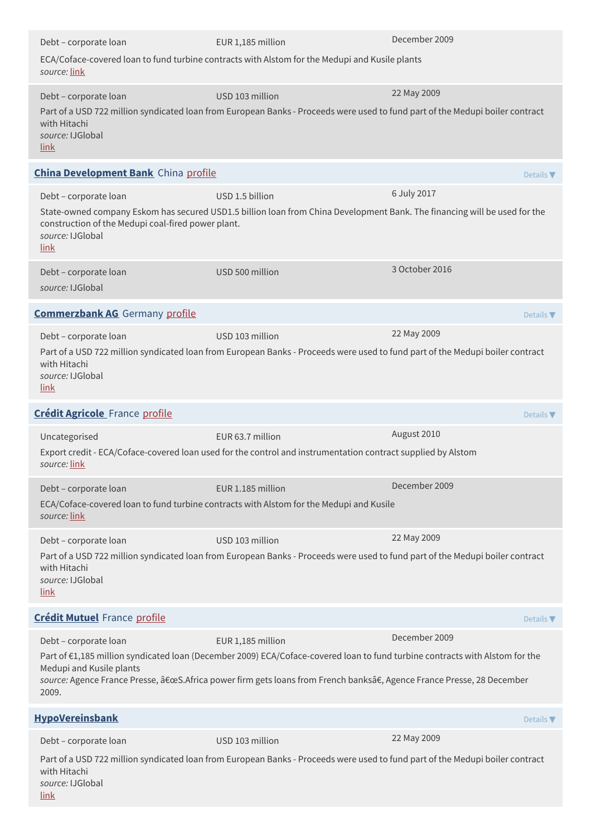| Debt - corporate loan                                                                 | EUR 1,185 million                                                                                                                                                                                                                                    | December 2009    |
|---------------------------------------------------------------------------------------|------------------------------------------------------------------------------------------------------------------------------------------------------------------------------------------------------------------------------------------------------|------------------|
| source: link                                                                          | ECA/Coface-covered loan to fund turbine contracts with Alstom for the Medupi and Kusile plants                                                                                                                                                       |                  |
| Debt - corporate loan                                                                 | USD 103 million                                                                                                                                                                                                                                      | 22 May 2009      |
| with Hitachi<br>source: IJGlobal<br>link                                              | Part of a USD 722 million syndicated loan from European Banks - Proceeds were used to fund part of the Medupi boiler contract                                                                                                                        |                  |
| <b>China Development Bank</b> China profile                                           |                                                                                                                                                                                                                                                      | Details V        |
| Debt - corporate loan                                                                 | USD 1.5 billion                                                                                                                                                                                                                                      | 6 July 2017      |
| construction of the Medupi coal-fired power plant.<br>source: IJGlobal<br><u>link</u> | State-owned company Eskom has secured USD1.5 billion loan from China Development Bank. The financing will be used for the                                                                                                                            |                  |
| Debt - corporate loan<br>source: IJGlobal                                             | USD 500 million                                                                                                                                                                                                                                      | 3 October 2016   |
| <b>Commerzbank AG</b> Germany profile                                                 |                                                                                                                                                                                                                                                      | Details $\nabla$ |
| Debt - corporate loan                                                                 | USD 103 million                                                                                                                                                                                                                                      | 22 May 2009      |
| with Hitachi<br>source: IJGlobal<br><u>link</u>                                       | Part of a USD 722 million syndicated loan from European Banks - Proceeds were used to fund part of the Medupi boiler contract                                                                                                                        |                  |
| <b>Crédit Agricole</b> France profile                                                 |                                                                                                                                                                                                                                                      | Details $\nabla$ |
| Uncategorised<br>source: link                                                         | EUR 63.7 million<br>Export credit - ECA/Coface-covered loan used for the control and instrumentation contract supplied by Alstom                                                                                                                     | August 2010      |
| Debt - corporate loan                                                                 | EUR 1.185 million                                                                                                                                                                                                                                    | December 2009    |
| source: link                                                                          | ECA/Coface-covered loan to fund turbine contracts with Alstom for the Medupi and Kusile                                                                                                                                                              |                  |
| Debt - corporate loan                                                                 | USD 103 million                                                                                                                                                                                                                                      | 22 May 2009      |
| with Hitachi<br>source: IJGlobal<br>link                                              | Part of a USD 722 million syndicated loan from European Banks - Proceeds were used to fund part of the Medupi boiler contract                                                                                                                        |                  |
| <b>Crédit Mutuel France profile</b>                                                   |                                                                                                                                                                                                                                                      | Details $\nabla$ |
| Debt - corporate loan                                                                 | EUR 1,185 million                                                                                                                                                                                                                                    | December 2009    |
| Medupi and Kusile plants<br>2009.                                                     | Part of €1,185 million syndicated loan (December 2009) ECA/Coface-covered loan to fund turbine contracts with Alstom for the<br>source: Agence France Presse, "S.Africa power firm gets loans from French banksâ€, Agence France Presse, 28 December |                  |
| <b>HypoVereinsbank</b>                                                                |                                                                                                                                                                                                                                                      | Details $\nabla$ |
| Debt - corporate loan                                                                 | USD 103 million                                                                                                                                                                                                                                      | 22 May 2009      |
| with Hitachi<br>source: IJGlobal<br><u>link</u>                                       | Part of a USD 722 million syndicated loan from European Banks - Proceeds were used to fund part of the Medupi boiler contract                                                                                                                        |                  |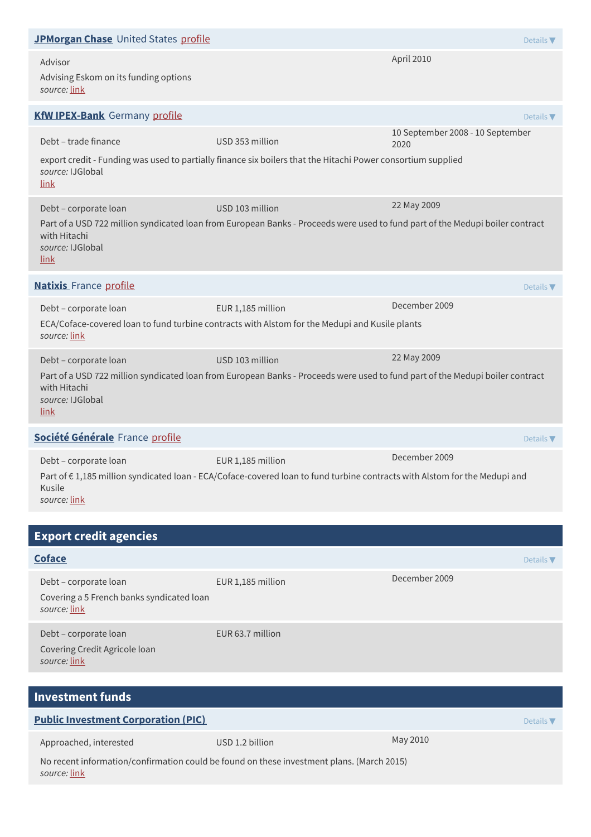| JPMorgan Chase United States profile                             |                                                                                                                               | Details $\blacktriangledown$             |
|------------------------------------------------------------------|-------------------------------------------------------------------------------------------------------------------------------|------------------------------------------|
| Advisor<br>Advising Eskom on its funding options<br>source: link |                                                                                                                               | April 2010                               |
| <b>KfW IPEX-Bank</b> Germany profile                             |                                                                                                                               | Details $\blacktriangledown$             |
| Debt - trade finance                                             | USD 353 million                                                                                                               | 10 September 2008 - 10 September<br>2020 |
| source: IJGlobal<br>link                                         | export credit - Funding was used to partially finance six boilers that the Hitachi Power consortium supplied                  |                                          |
| Debt - corporate loan                                            | USD 103 million                                                                                                               | 22 May 2009                              |
| with Hitachi<br>source: IJGlobal<br><u>link</u>                  | Part of a USD 722 million syndicated loan from European Banks - Proceeds were used to fund part of the Medupi boiler contract |                                          |
| <b>Natixis</b> France profile                                    |                                                                                                                               | Details $\nabla$                         |
|                                                                  |                                                                                                                               |                                          |
| Debt - corporate loan                                            | EUR 1,185 million                                                                                                             | December 2009                            |
| source: link                                                     | ECA/Coface-covered loan to fund turbine contracts with Alstom for the Medupi and Kusile plants                                |                                          |
| Debt - corporate loan                                            | USD 103 million                                                                                                               | 22 May 2009                              |
| with Hitachi<br>source: IJGlobal<br>link                         | Part of a USD 722 million syndicated loan from European Banks - Proceeds were used to fund part of the Medupi boiler contract |                                          |
| Société Générale France profile                                  |                                                                                                                               | Details $\blacktriangledown$             |
| Debt - corporate loan                                            | EUR 1,185 million                                                                                                             | December 2009                            |

| <b>Export credit agencies</b>                                                      |                   |                  |
|------------------------------------------------------------------------------------|-------------------|------------------|
| <b>Coface</b>                                                                      |                   | Details $\nabla$ |
| Debt - corporate loan<br>Covering a 5 French banks syndicated loan<br>source: link | EUR 1,185 million | December 2009    |
| Debt - corporate loan<br>Covering Credit Agricole loan<br>source: link             | EUR 63.7 million  |                  |

| <b>Investment funds</b>                                                                                   |                 |          |                  |
|-----------------------------------------------------------------------------------------------------------|-----------------|----------|------------------|
| <b>Public Investment Corporation (PIC)</b>                                                                |                 |          | Details $\nabla$ |
| Approached, interested                                                                                    | USD 1.2 billion | May 2010 |                  |
| No recent information/confirmation could be found on these investment plans. (March 2015)<br>source: link |                 |          |                  |